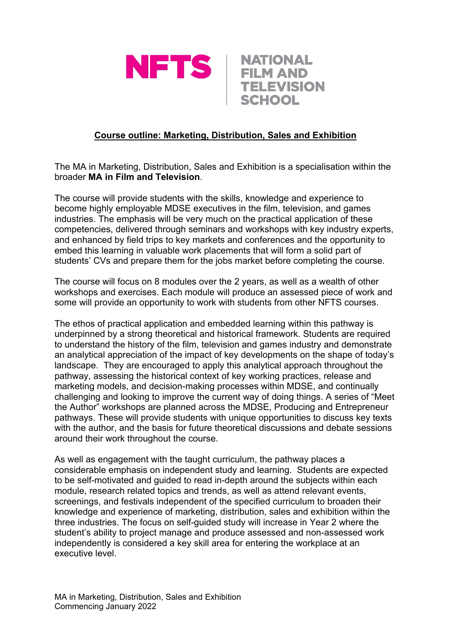



## **Course outline: Marketing, Distribution, Sales and Exhibition**

The MA in Marketing, Distribution, Sales and Exhibition is a specialisation within the broader **MA in Film and Television**.

The course will provide students with the skills, knowledge and experience to become highly employable MDSE executives in the film, television, and games industries. The emphasis will be very much on the practical application of these competencies, delivered through seminars and workshops with key industry experts, and enhanced by field trips to key markets and conferences and the opportunity to embed this learning in valuable work placements that will form a solid part of students' CVs and prepare them for the jobs market before completing the course.

The course will focus on 8 modules over the 2 years, as well as a wealth of other workshops and exercises. Each module will produce an assessed piece of work and some will provide an opportunity to work with students from other NFTS courses.

The ethos of practical application and embedded learning within this pathway is underpinned by a strong theoretical and historical framework. Students are required to understand the history of the film, television and games industry and demonstrate an analytical appreciation of the impact of key developments on the shape of today's landscape. They are encouraged to apply this analytical approach throughout the pathway, assessing the historical context of key working practices, release and marketing models, and decision-making processes within MDSE, and continually challenging and looking to improve the current way of doing things. A series of "Meet the Author" workshops are planned across the MDSE, Producing and Entrepreneur pathways. These will provide students with unique opportunities to discuss key texts with the author, and the basis for future theoretical discussions and debate sessions around their work throughout the course.

As well as engagement with the taught curriculum, the pathway places a considerable emphasis on independent study and learning. Students are expected to be self-motivated and guided to read in-depth around the subjects within each module, research related topics and trends, as well as attend relevant events, screenings, and festivals independent of the specified curriculum to broaden their knowledge and experience of marketing, distribution, sales and exhibition within the three industries. The focus on self-guided study will increase in Year 2 where the student's ability to project manage and produce assessed and non-assessed work independently is considered a key skill area for entering the workplace at an executive level.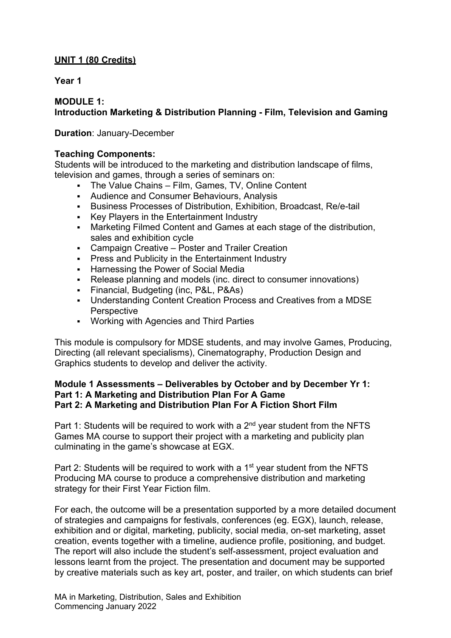## **UNIT 1 (80 Credits)**

### **Year 1**

### **MODULE 1: Introduction Marketing & Distribution Planning - Film, Television and Gaming**

### **Duration**: January-December

### **Teaching Components:**

Students will be introduced to the marketing and distribution landscape of films, television and games, through a series of seminars on:

- The Value Chains Film, Games, TV, Online Content
- Audience and Consumer Behaviours, Analysis
- Business Processes of Distribution, Exhibition, Broadcast, Re/e-tail
- Key Players in the Entertainment Industry
- Marketing Filmed Content and Games at each stage of the distribution, sales and exhibition cycle
- Campaign Creative Poster and Trailer Creation
- **Press and Publicity in the Entertainment Industry**
- **-** Harnessing the Power of Social Media
- Release planning and models (inc. direct to consumer innovations)
- Financial, Budgeting (inc, P&L, P&As)
- Understanding Content Creation Process and Creatives from a MDSE **Perspective**
- Working with Agencies and Third Parties

This module is compulsory for MDSE students, and may involve Games, Producing, Directing (all relevant specialisms), Cinematography, Production Design and Graphics students to develop and deliver the activity.

#### **Module 1 Assessments – Deliverables by October and by December Yr 1: Part 1: A Marketing and Distribution Plan For A Game Part 2: A Marketing and Distribution Plan For A Fiction Short Film**

Part 1: Students will be required to work with a  $2<sup>nd</sup>$  year student from the NFTS Games MA course to support their project with a marketing and publicity plan culminating in the game's showcase at EGX.

Part 2: Students will be required to work with a 1<sup>st</sup> year student from the NFTS Producing MA course to produce a comprehensive distribution and marketing strategy for their First Year Fiction film.

For each, the outcome will be a presentation supported by a more detailed document of strategies and campaigns for festivals, conferences (eg. EGX), launch, release, exhibition and or digital, marketing, publicity, social media, on-set marketing, asset creation, events together with a timeline, audience profile, positioning, and budget. The report will also include the student's self-assessment, project evaluation and lessons learnt from the project. The presentation and document may be supported by creative materials such as key art, poster, and trailer, on which students can brief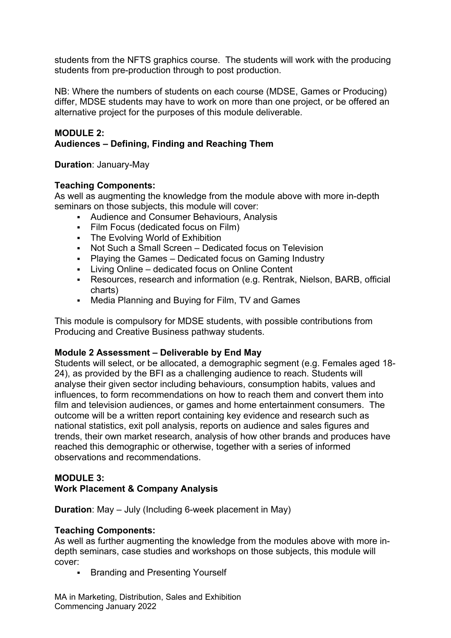students from the NFTS graphics course. The students will work with the producing students from pre-production through to post production.

NB: Where the numbers of students on each course (MDSE, Games or Producing) differ, MDSE students may have to work on more than one project, or be offered an alternative project for the purposes of this module deliverable.

#### **MODULE 2: Audiences – Defining, Finding and Reaching Them**

**Duration**: January-May

### **Teaching Components:**

As well as augmenting the knowledge from the module above with more in-depth seminars on those subjects, this module will cover:

- Audience and Consumer Behaviours, Analysis
- Film Focus (dedicated focus on Film)
- **-** The Evolving World of Exhibition
- Not Such a Small Screen Dedicated focus on Television
- Playing the Games Dedicated focus on Gaming Industry
- **Living Online dedicated focus on Online Content**
- Resources, research and information (e.g. Rentrak, Nielson, BARB, official charts)
- Media Planning and Buying for Film, TV and Games

This module is compulsory for MDSE students, with possible contributions from Producing and Creative Business pathway students.

### **Module 2 Assessment – Deliverable by End May**

Students will select, or be allocated, a demographic segment (e.g. Females aged 18- 24), as provided by the BFI as a challenging audience to reach. Students will analyse their given sector including behaviours, consumption habits, values and influences, to form recommendations on how to reach them and convert them into film and television audiences, or games and home entertainment consumers. The outcome will be a written report containing key evidence and research such as national statistics, exit poll analysis, reports on audience and sales figures and trends, their own market research, analysis of how other brands and produces have reached this demographic or otherwise, together with a series of informed observations and recommendations.

# **MODULE 3:**

### **Work Placement & Company Analysis**

**Duration**: May – July (Including 6-week placement in May)

### **Teaching Components:**

As well as further augmenting the knowledge from the modules above with more indepth seminars, case studies and workshops on those subjects, this module will cover:

**Branding and Presenting Yourself** 

MA in Marketing, Distribution, Sales and Exhibition Commencing January 2022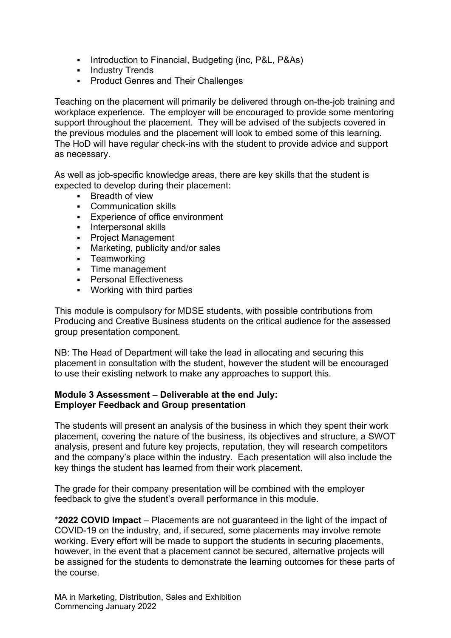- Introduction to Financial, Budgeting (inc, P&L, P&As)
- **-** Industry Trends
- **Product Genres and Their Challenges**

Teaching on the placement will primarily be delivered through on-the-job training and workplace experience. The employer will be encouraged to provide some mentoring support throughout the placement. They will be advised of the subjects covered in the previous modules and the placement will look to embed some of this learning. The HoD will have regular check-ins with the student to provide advice and support as necessary.

As well as job-specific knowledge areas, there are key skills that the student is expected to develop during their placement:

- **Breadth of view**
- Communication skills
- Experience of office environment
- Interpersonal skills
- **Project Management**
- Marketing, publicity and/or sales
- **-** Teamworking
- Time management
- **•** Personal Effectiveness
- Working with third parties

This module is compulsory for MDSE students, with possible contributions from Producing and Creative Business students on the critical audience for the assessed group presentation component.

NB: The Head of Department will take the lead in allocating and securing this placement in consultation with the student, however the student will be encouraged to use their existing network to make any approaches to support this.

### **Module 3 Assessment – Deliverable at the end July: Employer Feedback and Group presentation**

The students will present an analysis of the business in which they spent their work placement, covering the nature of the business, its objectives and structure, a SWOT analysis, present and future key projects, reputation, they will research competitors and the company's place within the industry. Each presentation will also include the key things the student has learned from their work placement.

The grade for their company presentation will be combined with the employer feedback to give the student's overall performance in this module.

\***2022 COVID Impact** – Placements are not guaranteed in the light of the impact of COVID-19 on the industry, and, if secured, some placements may involve remote working. Every effort will be made to support the students in securing placements, however, in the event that a placement cannot be secured, alternative projects will be assigned for the students to demonstrate the learning outcomes for these parts of the course.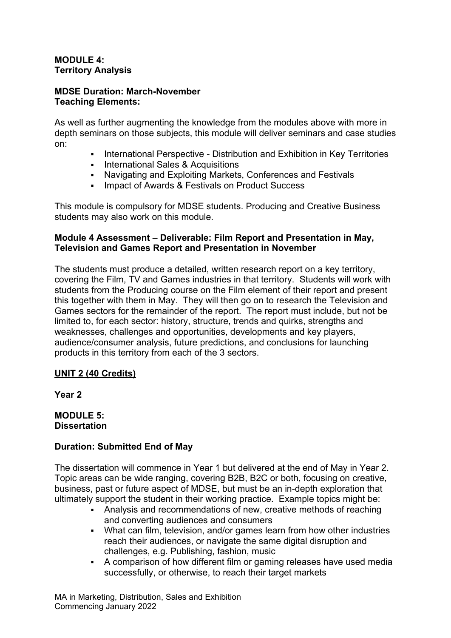### **MODULE 4: Territory Analysis**

### **MDSE Duration: March-November Teaching Elements:**

As well as further augmenting the knowledge from the modules above with more in depth seminars on those subjects, this module will deliver seminars and case studies on:

- International Perspective Distribution and Exhibition in Key Territories
- **International Sales & Acquisitions**
- Navigating and Exploiting Markets, Conferences and Festivals
- **Impact of Awards & Festivals on Product Success**

This module is compulsory for MDSE students. Producing and Creative Business students may also work on this module.

### **Module 4 Assessment – Deliverable: Film Report and Presentation in May, Television and Games Report and Presentation in November**

The students must produce a detailed, written research report on a key territory, covering the Film, TV and Games industries in that territory. Students will work with students from the Producing course on the Film element of their report and present this together with them in May. They will then go on to research the Television and Games sectors for the remainder of the report. The report must include, but not be limited to, for each sector: history, structure, trends and quirks, strengths and weaknesses, challenges and opportunities, developments and key players, audience/consumer analysis, future predictions, and conclusions for launching products in this territory from each of the 3 sectors.

### **UNIT 2 (40 Credits)**

**Year 2**

**MODULE 5: Dissertation**

### **Duration: Submitted End of May**

The dissertation will commence in Year 1 but delivered at the end of May in Year 2. Topic areas can be wide ranging, covering B2B, B2C or both, focusing on creative, business, past or future aspect of MDSE, but must be an in-depth exploration that ultimately support the student in their working practice. Example topics might be:

- Analysis and recommendations of new, creative methods of reaching and converting audiences and consumers
- What can film, television, and/or games learn from how other industries reach their audiences, or navigate the same digital disruption and challenges, e.g. Publishing, fashion, music
- A comparison of how different film or gaming releases have used media successfully, or otherwise, to reach their target markets

MA in Marketing, Distribution, Sales and Exhibition Commencing January 2022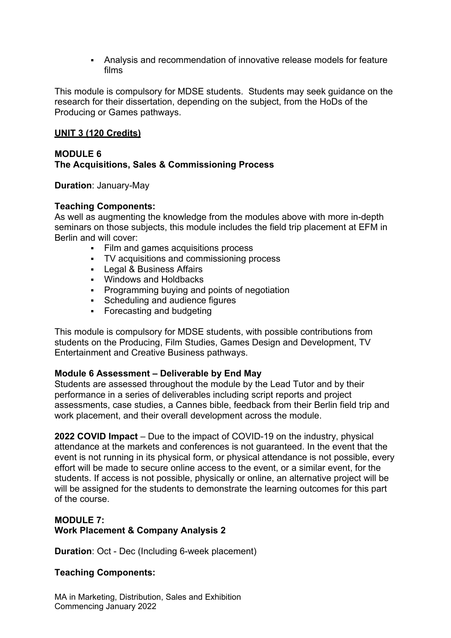Analysis and recommendation of innovative release models for feature films

This module is compulsory for MDSE students. Students may seek guidance on the research for their dissertation, depending on the subject, from the HoDs of the Producing or Games pathways.

### **UNIT 3 (120 Credits)**

#### **MODULE 6 The Acquisitions, Sales & Commissioning Process**

**Duration**: January-May

### **Teaching Components:**

As well as augmenting the knowledge from the modules above with more in-depth seminars on those subjects, this module includes the field trip placement at EFM in Berlin and will cover:

- Film and games acquisitions process
- TV acquisitions and commissioning process
- **Legal & Business Affairs**
- Windows and Holdbacks
- **Programming buying and points of negotiation**
- Scheduling and audience figures
- **Forecasting and budgeting**

This module is compulsory for MDSE students, with possible contributions from students on the Producing, Film Studies, Games Design and Development, TV Entertainment and Creative Business pathways.

### **Module 6 Assessment – Deliverable by End May**

Students are assessed throughout the module by the Lead Tutor and by their performance in a series of deliverables including script reports and project assessments, case studies, a Cannes bible, feedback from their Berlin field trip and work placement, and their overall development across the module.

**2022 COVID Impact** – Due to the impact of COVID-19 on the industry, physical attendance at the markets and conferences is not guaranteed. In the event that the event is not running in its physical form, or physical attendance is not possible, every effort will be made to secure online access to the event, or a similar event, for the students. If access is not possible, physically or online, an alternative project will be will be assigned for the students to demonstrate the learning outcomes for this part of the course.

#### **MODULE 7: Work Placement & Company Analysis 2**

**Duration**: Oct - Dec (Including 6-week placement)

### **Teaching Components:**

MA in Marketing, Distribution, Sales and Exhibition Commencing January 2022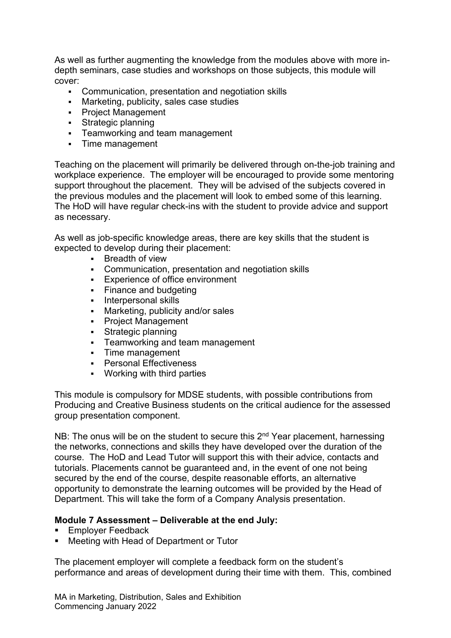As well as further augmenting the knowledge from the modules above with more indepth seminars, case studies and workshops on those subjects, this module will cover:

- Communication, presentation and negotiation skills
- Marketing, publicity, sales case studies
- **Project Management**
- **Strategic planning**
- **Fig.** Teamworking and team management
- Time management

Teaching on the placement will primarily be delivered through on-the-job training and workplace experience. The employer will be encouraged to provide some mentoring support throughout the placement. They will be advised of the subjects covered in the previous modules and the placement will look to embed some of this learning. The HoD will have regular check-ins with the student to provide advice and support as necessary.

As well as job-specific knowledge areas, there are key skills that the student is expected to develop during their placement:

- **Breadth of view**
- Communication, presentation and negotiation skills
- **Experience of office environment**
- Finance and budgeting
- **Interpersonal skills**
- Marketing, publicity and/or sales
- Project Management
- **Strategic planning**
- **Fig.** Teamworking and team management
- Time management
- **•** Personal Effectiveness
- Working with third parties

This module is compulsory for MDSE students, with possible contributions from Producing and Creative Business students on the critical audience for the assessed group presentation component.

NB: The onus will be on the student to secure this  $2<sup>nd</sup>$  Year placement, harnessing the networks, connections and skills they have developed over the duration of the course. The HoD and Lead Tutor will support this with their advice, contacts and tutorials. Placements cannot be guaranteed and, in the event of one not being secured by the end of the course, despite reasonable efforts, an alternative opportunity to demonstrate the learning outcomes will be provided by the Head of Department. This will take the form of a Company Analysis presentation.

### **Module 7 Assessment – Deliverable at the end July:**

- Employer Feedback
- Meeting with Head of Department or Tutor

The placement employer will complete a feedback form on the student's performance and areas of development during their time with them. This, combined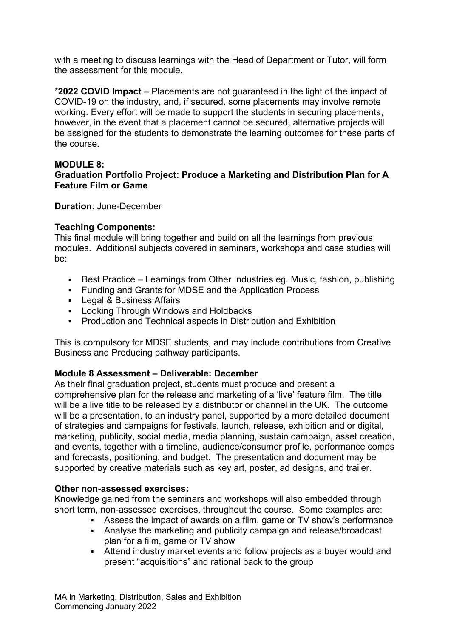with a meeting to discuss learnings with the Head of Department or Tutor, will form the assessment for this module.

\***2022 COVID Impact** – Placements are not guaranteed in the light of the impact of COVID-19 on the industry, and, if secured, some placements may involve remote working. Every effort will be made to support the students in securing placements, however, in the event that a placement cannot be secured, alternative projects will be assigned for the students to demonstrate the learning outcomes for these parts of the course.

### **MODULE 8:**

### **Graduation Portfolio Project: Produce a Marketing and Distribution Plan for A Feature Film or Game**

**Duration**: June-December

### **Teaching Components:**

This final module will bring together and build on all the learnings from previous modules. Additional subjects covered in seminars, workshops and case studies will be:

- Best Practice Learnings from Other Industries eg. Music, fashion, publishing
- Funding and Grants for MDSE and the Application Process
- **Legal & Business Affairs**
- **Looking Through Windows and Holdbacks**
- Production and Technical aspects in Distribution and Exhibition

This is compulsory for MDSE students, and may include contributions from Creative Business and Producing pathway participants.

### **Module 8 Assessment – Deliverable: December**

As their final graduation project, students must produce and present a comprehensive plan for the release and marketing of a 'live' feature film. The title will be a live title to be released by a distributor or channel in the UK. The outcome will be a presentation, to an industry panel, supported by a more detailed document of strategies and campaigns for festivals, launch, release, exhibition and or digital, marketing, publicity, social media, media planning, sustain campaign, asset creation, and events, together with a timeline, audience/consumer profile, performance comps and forecasts, positioning, and budget. The presentation and document may be supported by creative materials such as key art, poster, ad designs, and trailer.

### **Other non-assessed exercises:**

Knowledge gained from the seminars and workshops will also embedded through short term, non-assessed exercises, throughout the course. Some examples are:

- Assess the impact of awards on a film, game or TV show's performance
- Analyse the marketing and publicity campaign and release/broadcast plan for a film, game or TV show
- Attend industry market events and follow projects as a buyer would and present "acquisitions" and rational back to the group